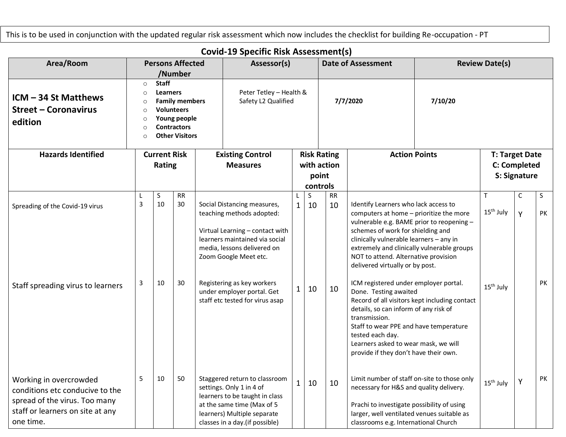This is to be used in conjunction with the updated regular risk assessment which now includes the checklist for building Re-occupation - PT

## **Covid-19 Specific Risk Assessment(s)**

| Area/Room                                                                                                                                   |                                                         |                                 | <b>Persons Affected</b><br>/Number                                                                        |                                                | Assessor(s)                                                                                                                                                                                                         |        |                    |           | <b>Date of Assessment</b>                                                                                                                                                                                                                                                                                                                                                      | <b>Review Date(s)</b>                         |                                                |   |          |
|---------------------------------------------------------------------------------------------------------------------------------------------|---------------------------------------------------------|---------------------------------|-----------------------------------------------------------------------------------------------------------|------------------------------------------------|---------------------------------------------------------------------------------------------------------------------------------------------------------------------------------------------------------------------|--------|--------------------|-----------|--------------------------------------------------------------------------------------------------------------------------------------------------------------------------------------------------------------------------------------------------------------------------------------------------------------------------------------------------------------------------------|-----------------------------------------------|------------------------------------------------|---|----------|
| ICM - 34 St Matthews<br><b>Street - Coronavirus</b><br>edition                                                                              | $\circ$<br>$\circ$<br>∩<br>$\circ$<br>$\circ$<br>∩<br>∩ | <b>Staff</b><br><b>Learners</b> | <b>Family members</b><br><b>Volunteers</b><br>Young people<br><b>Contractors</b><br><b>Other Visitors</b> | Peter Tetley - Health &<br>Safety L2 Qualified |                                                                                                                                                                                                                     |        |                    |           | 7/7/2020                                                                                                                                                                                                                                                                                                                                                                       | 7/10/20                                       |                                                |   |          |
| <b>Hazards Identified</b>                                                                                                                   |                                                         | <b>Current Risk</b>             |                                                                                                           |                                                | <b>Existing Control</b>                                                                                                                                                                                             |        | <b>Risk Rating</b> |           |                                                                                                                                                                                                                                                                                                                                                                                | <b>Action Points</b>                          | <b>T: Target Date</b>                          |   |          |
|                                                                                                                                             |                                                         | Rating                          |                                                                                                           |                                                | <b>Measures</b>                                                                                                                                                                                                     |        | with action        |           |                                                                                                                                                                                                                                                                                                                                                                                |                                               | <b>C: Completed</b>                            |   |          |
|                                                                                                                                             |                                                         |                                 |                                                                                                           |                                                |                                                                                                                                                                                                                     |        |                    | point     |                                                                                                                                                                                                                                                                                                                                                                                |                                               | S: Signature                                   |   |          |
|                                                                                                                                             | L                                                       | $\sf S$                         | RR                                                                                                        |                                                |                                                                                                                                                                                                                     |        | controls<br>S      | <b>RR</b> |                                                                                                                                                                                                                                                                                                                                                                                |                                               | $\mathsf{T}$                                   | C | S        |
| Spreading of the Covid-19 virus<br>Staff spreading virus to learners                                                                        | 3<br>3                                                  | 10<br>10                        | 30<br>30                                                                                                  |                                                | Social Distancing measures,<br>teaching methods adopted:<br>Virtual Learning - contact with<br>learners maintained via social<br>media, lessons delivered on<br>Zoom Google Meet etc.<br>Registering as key workers | 1<br>1 | 10<br>10           | 10<br>10  | Identify Learners who lack access to<br>computers at home - prioritize the more<br>vulnerable e.g. BAME prior to reopening -<br>schemes of work for shielding and<br>clinically vulnerable learners - any in<br>extremely and clinically vulnerable groups<br>NOT to attend. Alternative provision<br>delivered virtually or by post.<br>ICM registered under employer portal. |                                               | 15 <sup>th</sup> July<br>15 <sup>th</sup> July | Y | PK<br>PK |
|                                                                                                                                             |                                                         |                                 |                                                                                                           |                                                | under employer portal. Get<br>staff etc tested for virus asap                                                                                                                                                       |        |                    |           | Done. Testing awaited<br>details, so can inform of any risk of<br>transmission.<br>Staff to wear PPE and have temperature<br>tested each day.<br>Learners asked to wear mask, we will<br>provide if they don't have their own.                                                                                                                                                 | Record of all visitors kept including contact |                                                |   |          |
| Working in overcrowded<br>conditions etc conducive to the<br>spread of the virus. Too many<br>staff or learners on site at any<br>one time. | 5                                                       | 10                              | 50                                                                                                        |                                                | Staggered return to classroom<br>settings. Only 1 in 4 of<br>learners to be taught in class<br>at the same time (Max of 5<br>learners) Multiple separate<br>classes in a day.(if possible)                          | 1      | 10                 | 10        | Limit number of staff on-site to those only<br>necessary for H&S and quality delivery.<br>Prachi to investigate possibility of using<br>larger, well ventilated venues suitable as<br>classrooms e.g. International Church                                                                                                                                                     |                                               | 15 <sup>th</sup> July                          | Y | PK       |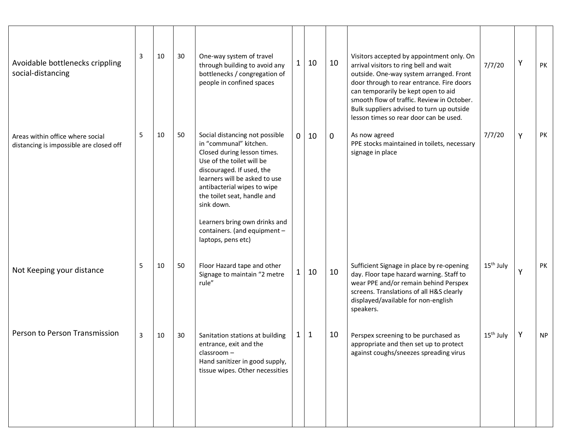| Avoidable bottlenecks crippling<br>social-distancing                        | 3 | 10 | 30 | One-way system of travel<br>through building to avoid any<br>bottlenecks / congregation of<br>people in confined spaces                                                                                                                                                                                                                               | 1            | 10          | 10          | Visitors accepted by appointment only. On<br>arrival visitors to ring bell and wait<br>outside. One-way system arranged. Front<br>door through to rear entrance. Fire doors<br>can temporarily be kept open to aid<br>smooth flow of traffic. Review in October.<br>Bulk suppliers advised to turn up outside<br>lesson times so rear door can be used. | 7/7/20                | Υ | PK        |
|-----------------------------------------------------------------------------|---|----|----|-------------------------------------------------------------------------------------------------------------------------------------------------------------------------------------------------------------------------------------------------------------------------------------------------------------------------------------------------------|--------------|-------------|-------------|---------------------------------------------------------------------------------------------------------------------------------------------------------------------------------------------------------------------------------------------------------------------------------------------------------------------------------------------------------|-----------------------|---|-----------|
| Areas within office where social<br>distancing is impossible are closed off | 5 | 10 | 50 | Social distancing not possible<br>in "communal" kitchen.<br>Closed during lesson times.<br>Use of the toilet will be<br>discouraged. If used, the<br>learners will be asked to use<br>antibacterial wipes to wipe<br>the toilet seat, handle and<br>sink down.<br>Learners bring own drinks and<br>containers. (and equipment -<br>laptops, pens etc) | $\mathbf{0}$ | 10          | $\mathbf 0$ | As now agreed<br>PPE stocks maintained in toilets, necessary<br>signage in place                                                                                                                                                                                                                                                                        | 7/7/20                | Y | PK        |
| Not Keeping your distance                                                   | 5 | 10 | 50 | Floor Hazard tape and other<br>Signage to maintain "2 metre<br>rule"                                                                                                                                                                                                                                                                                  |              | 10          | 10          | Sufficient Signage in place by re-opening<br>day. Floor tape hazard warning. Staff to<br>wear PPE and/or remain behind Perspex<br>screens. Translations of all H&S clearly<br>displayed/available for non-english<br>speakers.                                                                                                                          | 15 <sup>th</sup> July | Υ | PK        |
| Person to Person Transmission                                               | 3 | 10 | 30 | Sanitation stations at building<br>entrance, exit and the<br>classroom -<br>Hand sanitizer in good supply,<br>tissue wipes. Other necessities                                                                                                                                                                                                         | 1            | $\mathbf 1$ | 10          | Perspex screening to be purchased as<br>appropriate and then set up to protect<br>against coughs/sneezes spreading virus                                                                                                                                                                                                                                | 15 <sup>th</sup> July | Υ | <b>NP</b> |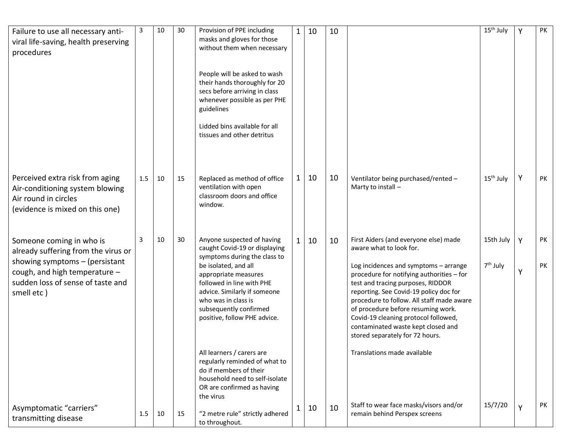| Failure to use all necessary anti-<br>viral life-saving, health preserving                                                                                                              | 3   | 10 | 30 | Provision of PPE including<br>masks and gloves for those                                                                                                                                                                                                                                  | 1 | 10 | 10 |                                                                                                                                                                                                                                                                                                                                                                                                                                           | 15 <sup>th</sup> July             | Y      | PK       |
|-----------------------------------------------------------------------------------------------------------------------------------------------------------------------------------------|-----|----|----|-------------------------------------------------------------------------------------------------------------------------------------------------------------------------------------------------------------------------------------------------------------------------------------------|---|----|----|-------------------------------------------------------------------------------------------------------------------------------------------------------------------------------------------------------------------------------------------------------------------------------------------------------------------------------------------------------------------------------------------------------------------------------------------|-----------------------------------|--------|----------|
| procedures                                                                                                                                                                              |     |    |    | without them when necessary<br>People will be asked to wash<br>their hands thoroughly for 20<br>secs before arriving in class<br>whenever possible as per PHE<br>guidelines<br>Lidded bins available for all<br>tissues and other detritus                                                |   |    |    |                                                                                                                                                                                                                                                                                                                                                                                                                                           |                                   |        |          |
| Perceived extra risk from aging<br>Air-conditioning system blowing<br>Air round in circles<br>(evidence is mixed on this one)                                                           | 1.5 | 10 | 15 | Replaced as method of office<br>ventilation with open<br>classroom doors and office<br>window.                                                                                                                                                                                            |   | 10 | 10 | Ventilator being purchased/rented -<br>Marty to install -                                                                                                                                                                                                                                                                                                                                                                                 | 15 <sup>th</sup> July             | Y      | PK       |
| Someone coming in who is<br>already suffering from the virus or<br>showing symptoms $-$ (persistant<br>cough, and high temperature -<br>sudden loss of sense of taste and<br>smell etc) | 3   | 10 | 30 | Anyone suspected of having<br>caught Covid-19 or displaying<br>symptoms during the class to<br>be isolated, and all<br>appropriate measures<br>followed in line with PHE<br>advice. Similarly if someone<br>who was in class is<br>subsequently confirmed<br>positive, follow PHE advice. |   | 10 | 10 | First Aiders (and everyone else) made<br>aware what to look for.<br>Log incidences and symptoms - arrange<br>procedure for notifying authorities - for<br>test and tracing purposes, RIDDOR<br>reporting. See Covid-19 policy doc for<br>procedure to follow. All staff made aware<br>of procedure before resuming work.<br>Covid-19 cleaning protocol followed,<br>contaminated waste kept closed and<br>stored separately for 72 hours. | 15th July<br>7 <sup>th</sup> July | Y<br>Y | PK<br>PK |
| Asymptomatic "carriers"<br>transmitting disease                                                                                                                                         | 1.5 | 10 | 15 | All learners / carers are<br>regularly reminded of what to<br>do if members of their<br>household need to self-isolate<br>OR are confirmed as having<br>the virus<br>"2 metre rule" strictly adhered<br>to throughout.                                                                    | 1 | 10 | 10 | Translations made available<br>Staff to wear face masks/visors and/or<br>remain behind Perspex screens                                                                                                                                                                                                                                                                                                                                    | 15/7/20                           | Y      | PK       |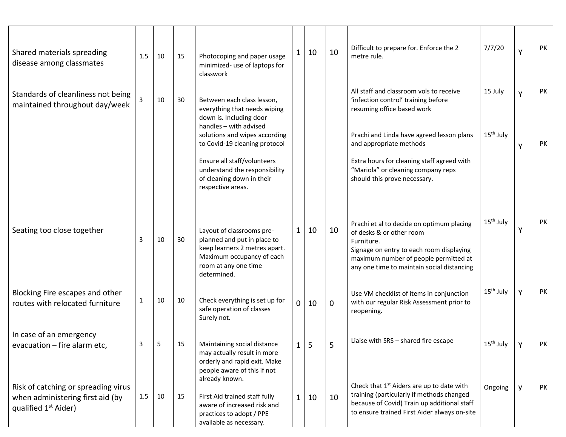| Shared materials spreading<br>disease among classmates                                                      | 1.5          | 10 | 15 | Photocoping and paper usage<br>minimized- use of laptops for<br>classwork                                                                                     |   | 10 | 10          | Difficult to prepare for. Enforce the 2<br>metre rule.                                                                                                                                                                 | 7/7/20                | Y | PK |
|-------------------------------------------------------------------------------------------------------------|--------------|----|----|---------------------------------------------------------------------------------------------------------------------------------------------------------------|---|----|-------------|------------------------------------------------------------------------------------------------------------------------------------------------------------------------------------------------------------------------|-----------------------|---|----|
| Standards of cleanliness not being<br>maintained throughout day/week                                        |              | 10 | 30 | Between each class lesson,<br>everything that needs wiping<br>down is. Including door                                                                         |   |    |             | All staff and classroom vols to receive<br>'infection control' training before<br>resuming office based work                                                                                                           | 15 July               | Y | PK |
|                                                                                                             |              |    |    | handles - with advised<br>solutions and wipes according<br>to Covid-19 cleaning protocol                                                                      |   |    |             | Prachi and Linda have agreed lesson plans<br>and appropriate methods                                                                                                                                                   | 15 <sup>th</sup> July | Υ | PK |
|                                                                                                             |              |    |    | Ensure all staff/volunteers<br>understand the responsibility<br>of cleaning down in their<br>respective areas.                                                |   |    |             | Extra hours for cleaning staff agreed with<br>"Mariola" or cleaning company reps<br>should this prove necessary.                                                                                                       |                       |   |    |
| Seating too close together                                                                                  | 3            | 10 | 30 | Layout of classrooms pre-<br>planned and put in place to<br>keep learners 2 metres apart.<br>Maximum occupancy of each<br>room at any one time<br>determined. | 1 | 10 | 10          | Prachi et al to decide on optimum placing<br>of desks & or other room<br>Furniture.<br>Signage on entry to each room displaying<br>maximum number of people permitted at<br>any one time to maintain social distancing | 15 <sup>th</sup> July | Υ | PK |
| Blocking Fire escapes and other<br>routes with relocated furniture                                          | $\mathbf 1$  | 10 | 10 | Check everything is set up for<br>safe operation of classes<br>Surely not.                                                                                    | 0 | 10 | $\mathbf 0$ | Use VM checklist of items in conjunction<br>with our regular Risk Assessment prior to<br>reopening.                                                                                                                    | 15 <sup>th</sup> July | Y | PK |
| In case of an emergency<br>evacuation - fire alarm etc,                                                     | $\mathbf{R}$ | 5  | 15 | Maintaining social distance<br>may actually result in more<br>orderly and rapid exit. Make<br>people aware of this if not                                     |   | 5  |             | Liaise with SRS - shared fire escape                                                                                                                                                                                   | 15 <sup>th</sup> July | Υ | PK |
| Risk of catching or spreading virus<br>when administering first aid (by<br>qualified 1 <sup>st</sup> Aider) | 1.5          | 10 | 15 | already known.<br>First Aid trained staff fully<br>aware of increased risk and<br>practices to adopt / PPE<br>available as necessary.                         | 1 | 10 | 10          | Check that 1 <sup>st</sup> Aiders are up to date with<br>training (particularly if methods changed<br>because of Covid) Train up additional staff<br>to ensure trained First Aider always on-site                      | Ongoing               | y | PK |